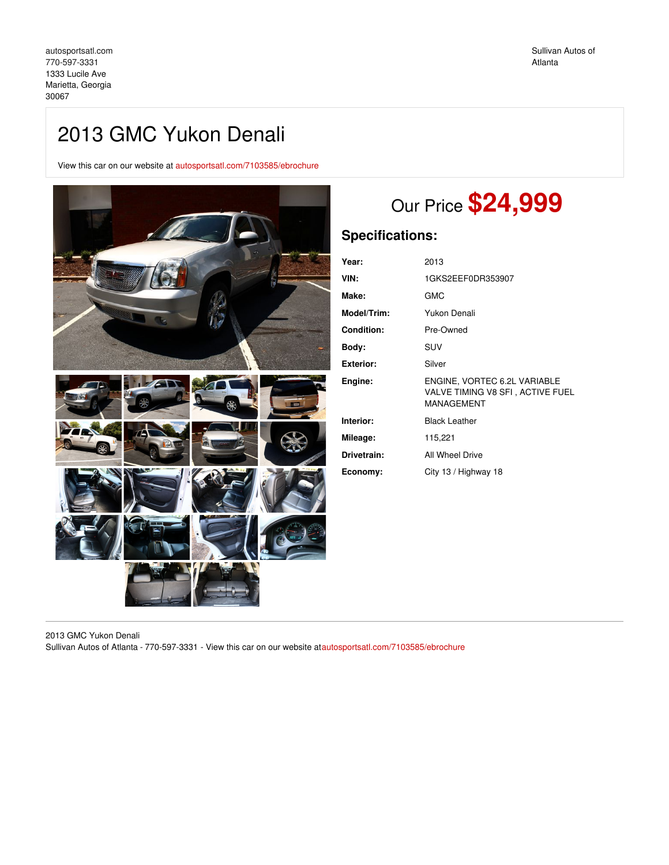# 2013 GMC Yukon Denali

View this car on our website at [autosportsatl.com/7103585/ebrochure](https://autosportsatl.com/vehicle/7103585/2013-gmc-yukon-denali-marietta-georgia-30067/7103585/ebrochure)



# Our Price **\$24,999**

## **Specifications:**

| Year:            | 2013                                                                           |
|------------------|--------------------------------------------------------------------------------|
| VIN:             | 1GKS2EEF0DR353907                                                              |
| Make:            | <b>GMC</b>                                                                     |
| Model/Trim:      | Yukon Denali                                                                   |
| Condition:       | Pre-Owned                                                                      |
| Body:            | SUV                                                                            |
| <b>Exterior:</b> | Silver                                                                         |
| Engine:          | ENGINE, VORTEC 6.2L VARIABLE<br>VALVE TIMING V8 SFI, ACTIVE FUEL<br>MANAGEMENT |
| Interior:        | <b>Black Leather</b>                                                           |
| Mileage:         | 115,221                                                                        |
| Drivetrain:      | All Wheel Drive                                                                |
| Economy:         | City 13 / Highway 18                                                           |

2013 GMC Yukon Denali

Sullivan Autos of Atlanta - 770-597-3331 - View this car on our website a[tautosportsatl.com/7103585/ebrochure](https://autosportsatl.com/vehicle/7103585/2013-gmc-yukon-denali-marietta-georgia-30067/7103585/ebrochure)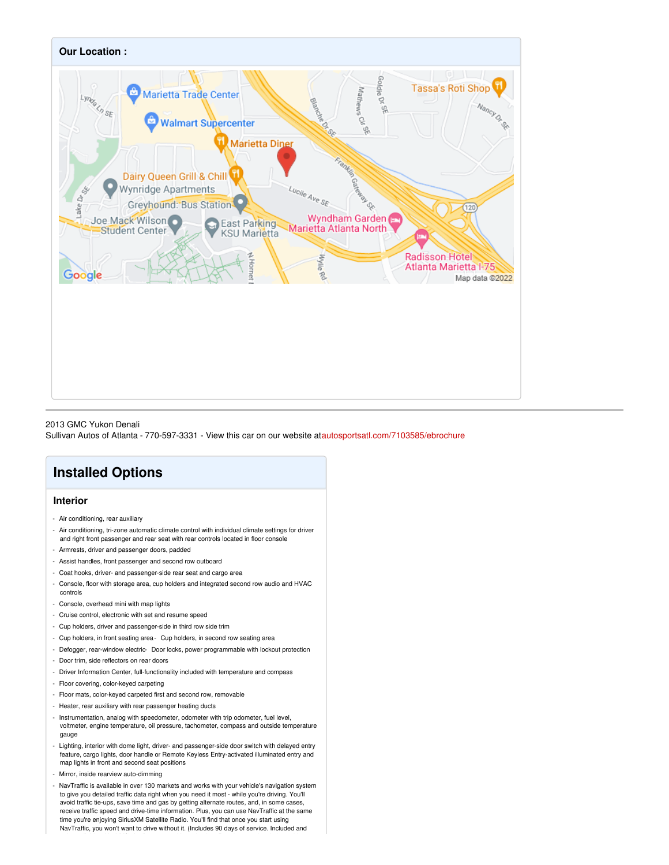

2013 GMC Yukon Denali

Sullivan Autos of Atlanta - 770-597-3331 - View this car on our website a[tautosportsatl.com/7103585/ebrochure](https://autosportsatl.com/vehicle/7103585/2013-gmc-yukon-denali-marietta-georgia-30067/7103585/ebrochure)

## **Installed Options**

### **Interior**

- Air conditioning, rear auxiliary
- Air conditioning, tri-zone automatic climate control with individual climate settings for driver and right front passenger and rear seat with rear controls located in floor console
- Armrests, driver and passenger doors, padded
- Assist handles, front passenger and second row outboard
- Coat hooks, driver- and passenger-side rear seat and cargo area
- Console, floor with storage area, cup holders and integrated second row audio and HVAC controls
- Console, overhead mini with map lights
- Cruise control, electronic with set and resume speed
- Cup holders, driver and passenger-side in third row side trim
- Cup holders, in front seating area- Cup holders, in second row seating area
- Defogger, rear-window electric- Door locks, power programmable with lockout protection
- Door trim, side reflectors on rear doors
- Driver Information Center, full-functionality included with temperature and compass
- Floor covering, color-keyed carpeting
- Floor mats, color-keyed carpeted first and second row, removable
- Heater, rear auxiliary with rear passenger heating ducts
- Instrumentation, analog with speedometer, odometer with trip odometer, fuel level, voltmeter, engine temperature, oil pressure, tachometer, compass and outside temperature gauge
- Lighting, interior with dome light, driver- and passenger-side door switch with delayed entry feature, cargo lights, door handle or Remote Keyless Entry-activated illuminated entry and map lights in front and second seat positions
- Mirror, inside rearview auto-dimming
- NavTraffic is available in over 130 markets and works with your vehicle's navigation system to give you detailed traffic data right when you need it most - while you're driving. You'll avoid traffic tie-ups, save time and gas by getting alternate routes, and, in some cases, receive traffic speed and drive-time information. Plus, you can use NavTraffic at the same time you're enjoying SiriusXM Satellite Radio. You'll find that once you start using NavTraffic, you won't want to drive without it. (Includes 90 days of service. Included and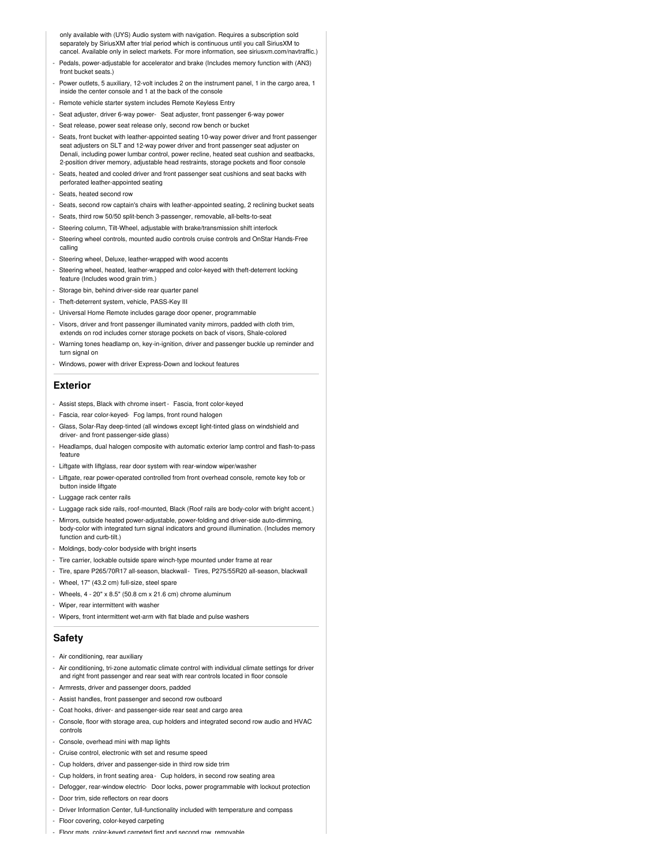only available with (UYS) Audio system with navigation. Requires a subscription sold separately by SiriusXM after trial period which is continuous until you call SiriusXM to cancel. Available only in select markets. For more information, see siriusxm.com/navtraffic.)

- Pedals, power-adjustable for accelerator and brake (Includes memory function with (AN3) front bucket seats.)
- Power outlets, 5 auxiliary, 12-volt includes 2 on the instrument panel, 1 in the cargo area, 1 inside the center console and 1 at the back of the console
- Remote vehicle starter system includes Remote Keyless Entry
- Seat adjuster, driver 6-way power- Seat adjuster, front passenger 6-way power
- Seat release, power seat release only, second row bench or bucket
- Seats, front bucket with leather-appointed seating 10-way power driver and front passenger seat adjusters on SLT and 12-way power driver and front passenger seat adjuster on Denali, including power lumbar control, power recline, heated seat cushion and seatbacks, 2-position driver memory, adjustable head restraints, storage pockets and floor console
- Seats, heated and cooled driver and front passenger seat cushions and seat backs with perforated leather-appointed seating
- Seats, heated second row
- Seats, second row captain's chairs with leather-appointed seating, 2 reclining bucket seats
- Seats, third row 50/50 split-bench 3-passenger, removable, all-belts-to-seat
- Steering column, Tilt-Wheel, adjustable with brake/transmission shift interlock
- Steering wheel controls, mounted audio controls cruise controls and OnStar Hands-Free calling
- Steering wheel, Deluxe, leather-wrapped with wood accents
- Steering wheel, heated, leather-wrapped and color-keyed with theft-deterrent locking feature (Includes wood grain trim.)
- Storage bin, behind driver-side rear quarter panel
- Theft-deterrent system, vehicle, PASS-Key III
- Universal Home Remote includes garage door opener, programmable
- Visors, driver and front passenger illuminated vanity mirrors, padded with cloth trim, extends on rod includes corner storage pockets on back of visors, Shale-colored
- Warning tones headlamp on, key-in-ignition, driver and passenger buckle up reminder and turn signal on
- Windows, power with driver Express-Down and lockout features

#### **Exterior**

- Assist steps, Black with chrome insert Fascia, front color-keyed
- Fascia, rear color-keyed- Fog lamps, front round halogen
- Glass, Solar-Ray deep-tinted (all windows except light-tinted glass on windshield and driver- and front passenger-side glass)
- Headlamps, dual halogen composite with automatic exterior lamp control and flash-to-pass feature
- Liftgate with liftglass, rear door system with rear-window wiper/washer
- Liftgate, rear power-operated controlled from front overhead console, remote key fob or button inside liftgate
- Luggage rack center rails
- 
- Luggage rack side rails, roof-mounted, Black (Roof rails are body-color with bright accent.)
- Mirrors, outside heated power-adjustable, power-folding and driver-side auto-dimming, body-color with integrated turn signal indicators and ground illumination. (Includes memory function and curb-tilt.)
- Moldings, body-color bodyside with bright inserts
- Tire carrier, lockable outside spare winch-type mounted under frame at rear
- Tire, spare P265/70R17 all-season, blackwall- Tires, P275/55R20 all-season, blackwall
- Wheel, 17" (43.2 cm) full-size, steel spare
- Wheels, 4 20" x 8.5" (50.8 cm x 21.6 cm) chrome aluminum
- Wiper, rear intermittent with washe
- Wipers, front intermittent wet-arm with flat blade and pulse washers

#### **Safety**

- Air conditioning, rear auxiliary
- Air conditioning, tri-zone automatic climate control with individual climate settings for driver and right front passenger and rear seat with rear controls located in floor console
- Armrests, driver and passenger doors, padded
- Assist handles, front passenger and second row outboard
- Coat hooks, driver- and passenger-side rear seat and cargo area
- Console, floor with storage area, cup holders and integrated second row audio and HVAC controls
- Console, overhead mini with map lights
- Cruise control, electronic with set and resume speed
- Cup holders, driver and passenger-side in third row side trim
- Cup holders, in front seating area- Cup holders, in second row seating area
- Defogger, rear-window electric- Door locks, power programmable with lockout protection
- Door trim, side reflectors on rear doors
- Driver Information Center, full-functionality included with temperature and compass
- Floor covering, color-keyed carpeting - Floor mats, color-keyed carpeted first and second row, removable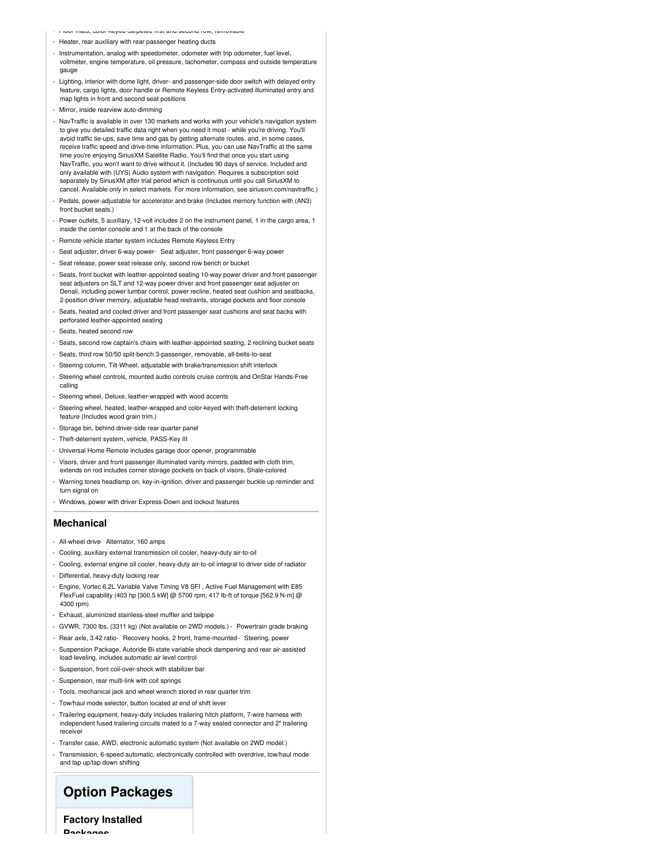- Floor mats, color-keyed carpeted first and second row, removable
- Heater, rear auxiliary with rear passenger heating ducts
- Instrumentation, analog with speedometer, odometer with trip odometer, fuel level, voltmeter, engine temperature, oil pressure, tachometer, compass and outside temperature gauge
- Lighting, interior with dome light, driver- and passenger-side door switch with delayed entry feature, cargo lights, door handle or Remote Keyless Entry-activated illuminated entry and map lights in front and second seat positions
- Mirror, inside rearview auto-dimming
- NavTraffic is available in over 130 markets and works with your vehicle's navigation system to give you detailed traffic data right when you need it most - while you're driving. You'll avoid traffic tie-ups, save time and gas by getting alternate routes, and, in some cases, receive traffic speed and drive-time information. Plus, you can use NavTraffic at the same time you're enjoying SiriusXM Satellite Radio. You'll find that once you start using NavTraffic, you won't want to drive without it. (Includes 90 days of service. Included and only available with (UYS) Audio system with navigation. Requires a subscription sold separately by SiriusXM after trial period which is continuous until you call SiriusXM to cancel. Available only in select markets. For more information, see siriusxm.com/navtraffic.)
- Pedals, power-adjustable for accelerator and brake (Includes memory function with (AN3) front bucket seats.)
- Power outlets, 5 auxiliary, 12-volt includes 2 on the instrument panel, 1 in the cargo area, 1 inside the center console and 1 at the back of the console
- Remote vehicle starter system includes Remote Keyless Entry
- Seat adjuster, driver 6-way power- Seat adjuster, front passenger 6-way power
- Seat release, power seat release only, second row bench or bucket
- Seats, front bucket with leather-appointed seating 10-way power driver and front passenger seat adjusters on SLT and 12-way power driver and front passenger seat adjuster on Denali, including power lumbar control, power recline, heated seat cushion and seatbacks, 2-position driver memory, adjustable head restraints, storage pockets and floor console
- Seats, heated and cooled driver and front passenger seat cushions and seat backs with perforated leather-appointed seating
- Seats, heated second row
- Seats, second row captain's chairs with leather-appointed seating, 2 reclining bucket seats
- Seats, third row 50/50 split-bench 3-passenger, removable, all-belts-to-seat
- Steering column, Tilt-Wheel, adjustable with brake/transmission shift interlock
- Steering wheel controls, mounted audio controls cruise controls and OnStar Hands-Free calling
- Steering wheel, Deluxe, leather-wrapped with wood accents
- Steering wheel, heated, leather-wrapped and color-keyed with theft-deterrent locking feature (Includes wood grain trim.)
- Storage bin, behind driver-side rear quarter panel
- Theft-deterrent system, vehicle, PASS-Key III
- Universal Home Remote includes garage door opener, programmable
- Visors, driver and front passenger illuminated vanity mirrors, padded with cloth trim, extends on rod includes corner storage pockets on back of visors, Shale-colored
- Warning tones headlamp on, key-in-ignition, driver and passenger buckle up reminder and turn signal on
- Windows, power with driver Express-Down and lockout features

#### **Mechanical**

- All-wheel drive- Alternator, 160 amps
- Cooling, auxiliary external transmission oil cooler, heavy-duty air-to-oil
- Cooling, external engine oil cooler, heavy-duty air-to-oil integral to driver side of radiator
- Differential, heavy-duty locking rear
- Engine, Vortec 6.2L Variable Valve Timing V8 SFI , Active Fuel Management with E85 FlexFuel capability (403 hp [300.5 kW] @ 5700 rpm, 417 lb-ft of torque [562.9 N-m] @ 4300 rpm)
- Exhaust, aluminized stainless-steel muffler and tailpipe
- GVWR, 7300 lbs. (3311 kg) (Not available on 2WD models.) Powertrain grade braking
- Rear axle, 3.42 ratio- Recovery hooks, 2 front, frame-mounted- Steering, power
- Suspension Package, Autoride Bi-state variable shock dampening and rear air-assisted load-leveling, includes automatic air level control
- Suspension, front coil-over-shock with stabilizer bar
- Suspension, rear multi-link with coil springs
- Tools, mechanical jack and wheel wrench stored in rear quarter trim
- Tow/haul mode selector, button located at end of shift lever
- Trailering equipment, heavy-duty includes trailering hitch platform, 7-wire harness with independent fused trailering circuits mated to a 7-way sealed connector and 2" trailering receiver
- Transfer case, AWD, electronic automatic system (Not available on 2WD model.)

- Transmission, 6-speed automatic, electronically controlled with overdrive, tow/haul mode and tap up/tap down shifting

### **Option Packages**

**Factory Installed**

**Dookages**